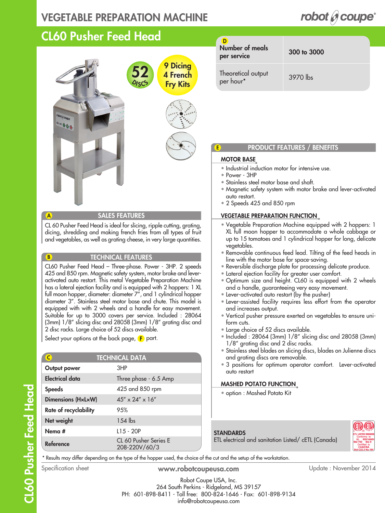### VEGETABLE PREPARATION MACHINE

### CL60 Pusher Feed Head



#### SALES FEATURES

CL 60 Pusher Feed Head is ideal for slicing, ripple cutting, grating, dicing, shredding and making french fries from all types of fruit and vegetables, as well as grating cheese, in very large quantities.

#### TECHNICAL FEATURES

CL60 Pusher Feed Head – Three-phase. Power - 3HP. 2 speeds 425 and 850 rpm. Magnetic safety system, motor brake and leveractivated auto restart. This metal Vegetable Preparation Machine has a lateral ejection facility and is equipped with 2 hoppers: 1 XL full moon hopper, diameter: diameter 7", and 1 cylindrical hopper diameter 3". Stainless steel motor base and chute. This model is equipped with with 2 wheels and a handle for easy movement. Suitable for up to 3000 covers per service. Included : 28064 (3mm) 1/8" slicing disc and 28058 (3mm) 1/8" grating disc and 2 disc racks. Large choice of 52 discs available.

Select your options at the back page,  $\mathsf F$  part.

| C                         | <b>TECHNICAL DATA</b>                  |
|---------------------------|----------------------------------------|
| Output power              | 3HP                                    |
| <b>Electrical data</b>    | Three phase - 6.5 Amp                  |
| <b>Speeds</b>             | 425 and 850 rpm                        |
| <b>Dimensions (HxLxW)</b> | $45'' \times 24'' \times 16''$         |
| Rate of recyclability     | 9.5%                                   |
| Net weight                | $154$ lbs                              |
| Nema #                    | $L15 - 20P$                            |
| Reference                 | CL 60 Pusher Series E<br>208-220V/60/3 |

| Number of meals<br>per service  | 300 to 3000 |
|---------------------------------|-------------|
| Theoretical output<br>per hour* | 3970 lbs    |

#### PRODUCT FEATURES / BENEFITS

#### MOTOR BASE

E

- Industrial induction motor for intensive use.
- Power 3HP
- Stainless steel motor base and shaft.
- Magnetic safety system with motor brake and lever-activated auto restart.
- 2 Speeds 425 and 850 rpm

#### VEGETABLE PREPARATION FUNCTION

- Vegetable Preparation Machine equipped with 2 hoppers: 1 XL full moon hopper to accommodate a whole cabbage or up to 15 tomatoes and 1 cylindrical hopper for long, delicate vegetables.
- Removable continuous feed lead. Tilting of the feed heads in line with the motor base for space-saving.
- Reversible discharge plate for processing delicate produce.
- Lateral ejection facility for greater user comfort.
- Optimum size and height. CL60 is equipped with 2 wheels and a handle, guaranteeing very easy movement.
- Lever-activated auto restart (by the pusher)
- Lever-assisted facility requires less effort from the operator and increases output.
- Vertical pusher pressure exerted on vegetables to ensure uniform cuts.
- Large choice of 52 discs available.
- Included : 28064 (3mm) 1/8" slicing disc and 28058 (3mm) 1/8" grating disc and 2 disc racks.
- Stainless steel blades on slicing discs, blades on Julienne discs and grating discs are removable.
- 3 positions for optimum operator comfort. Lever-activated auto restart

#### MASHED POTATO FUNCTION

• option : Mashed Potato Kit

# **STANDARDS**

ETL electrical and sanitation Listed/ cETL (Canada)



\* Results may differ depending on the type of the hopper used, the choice of the cut and the setup of the workstation.

Specification sheet **www.robotcoupeusa.com** Update : November 2014

Robot Coupe USA, Inc. 264 South Perkins - Ridgeland, MS 39157 PH: 601-898-8411 - Toll free: 800-824-1646 - Fax: 601-898-9134 info@robotcoupeusa.com

A

B